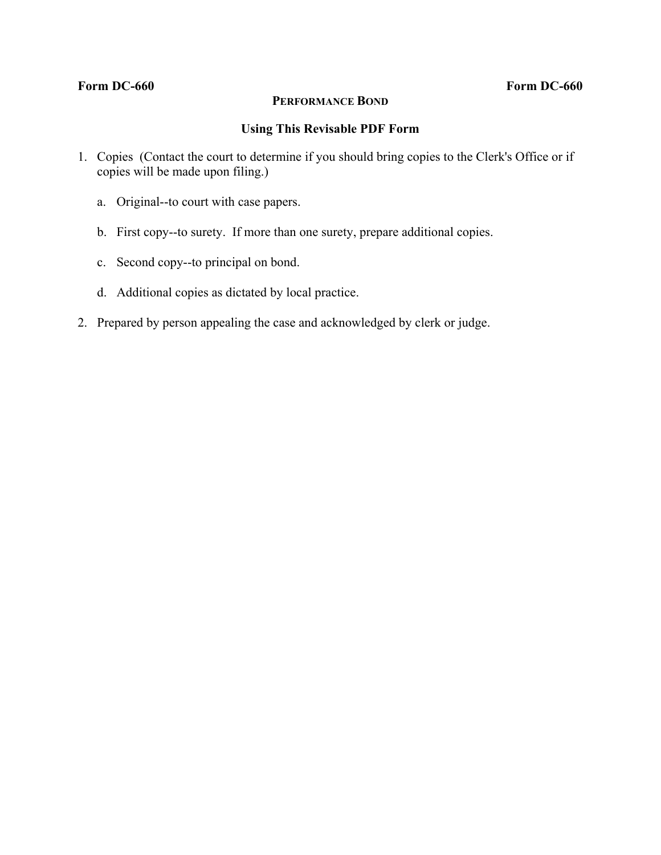### **Form DC-660 Form DC-660**

# **PERFORMANCE BOND**

# **Using This Revisable PDF Form**

- 1. Copies (Contact the court to determine if you should bring copies to the Clerk's Office or if copies will be made upon filing.)
	- a. Original--to court with case papers.
	- b. First copy--to surety. If more than one surety, prepare additional copies.
	- c. Second copy--to principal on bond.
	- d. Additional copies as dictated by local practice.
- 2. Prepared by person appealing the case and acknowledged by clerk or judge.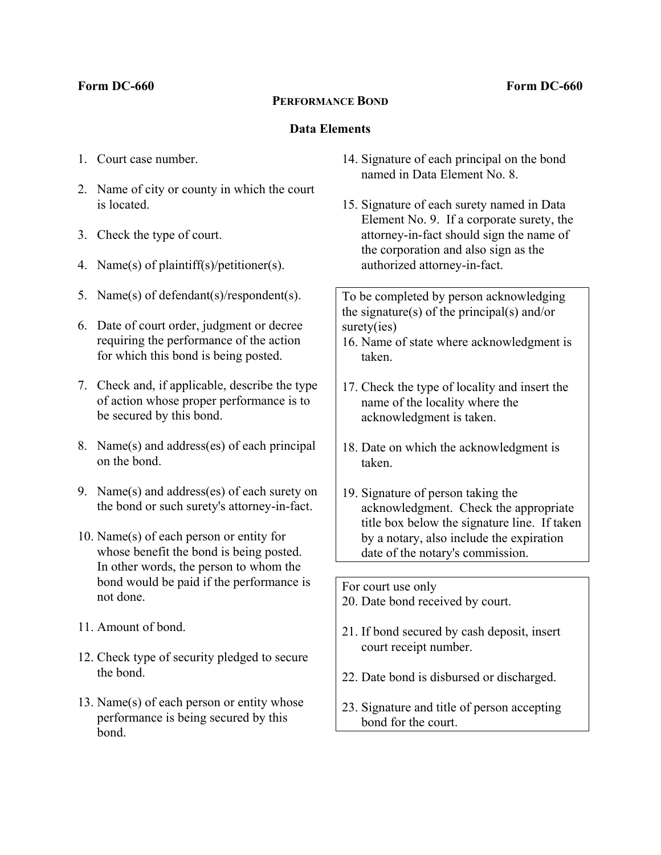### **Form DC-660 Form DC-660**

# **PERFORMANCE BOND**

### **Data Elements**

- 1. Court case number.
- 2. Name of city or county in which the court is located.
- 3. Check the type of court.
- 4. Name(s) of plaintiff(s)/petitioner(s).
- 5. Name(s) of defendant(s)/respondent(s).
- 6. Date of court order, judgment or decree requiring the performance of the action for which this bond is being posted.
- 7. Check and, if applicable, describe the type of action whose proper performance is to be secured by this bond.
- 8. Name(s) and address(es) of each principal on the bond.
- 9. Name(s) and address(es) of each surety on the bond or such surety's attorney-in-fact.
- 10. Name(s) of each person or entity for whose benefit the bond is being posted. In other words, the person to whom the bond would be paid if the performance is not done.
- 11. Amount of bond.
- 12. Check type of security pledged to secure the bond.
- 13. Name(s) of each person or entity whose performance is being secured by this bond.
- 14. Signature of each principal on the bond named in Data Element No. 8.
- 15. Signature of each surety named in Data Element No. 9. If a corporate surety, the attorney-in-fact should sign the name of the corporation and also sign as the authorized attorney-in-fact.

To be completed by person acknowledging the signature(s) of the principal(s) and/or surety(ies)

- 16. Name of state where acknowledgment is taken.
- 17. Check the type of locality and insert the name of the locality where the acknowledgment is taken.
- 18. Date on which the acknowledgment is taken.
- 19. Signature of person taking the acknowledgment. Check the appropriate title box below the signature line. If taken by a notary, also include the expiration date of the notary's commission.

For court use only

- 20. Date bond received by court.
- 21. If bond secured by cash deposit, insert court receipt number.
- 22. Date bond is disbursed or discharged.
- 23. Signature and title of person accepting bond for the court.